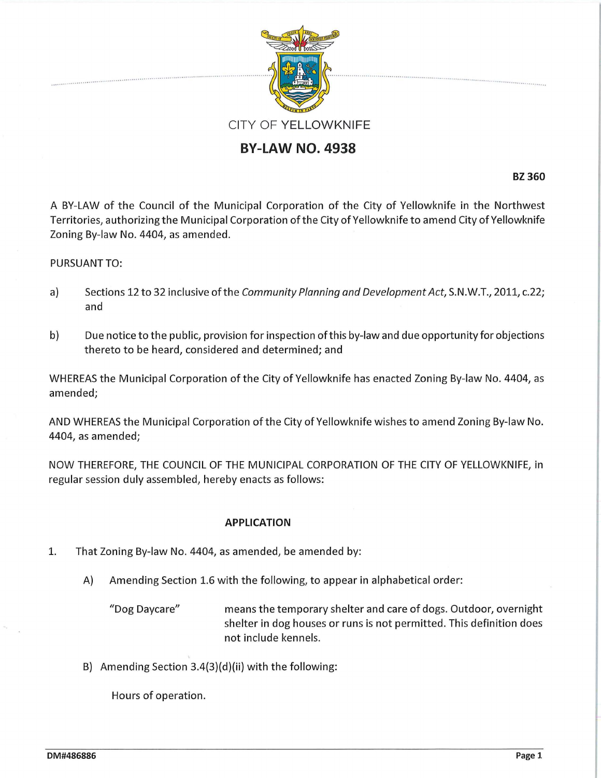

## **BY-LAW NO. 4938**

**BZ 360** 

A BY-LAW of the Council of the Municipal Corporation of the City of Yellowknife in the Northwest Territories, authorizing the Municipal Corporation of the City of Yellowknife to amend City of Yellowknife Zoning By-law No. 4404, as amended.

## PURSUANT TO:

- a) Sections 12 to 32 inclusive of the Community Planning and Development Act, S.N.W.T., 2011, c.22; and
- b) Due notice to the public, provision for inspection of this by-law and due opportunity for objections thereto to be heard, considered and determined; and

WHEREAS the Municipal Corporation of the City of Yellowknife has enacted Zoning By-law No. 4404, as amended;

AND WHEREAS the Municipal Corporation of the City of Yellowknife wishes to amend Zoning By-law No. 4404, as amended;

NOW THEREFORE, THE COUNCIL OF THE MUNICIPAL CORPORATION OF THE CITY OF YELLOWKNIFE, in regular session duly assembled, hereby enacts as follows:

## **APPLICATION**

- 1. That Zoning By-law No. 4404, as amended, be amended by:
	- A) Amending Section 1.6 with the following, to appear in alphabetical order:

"Dog Daycare" means the temporary shelter and care of dogs. Outdoor, overnight shelter in dog houses or runs is not permitted. This definition does not include kennels.

B) Amending Section 3.4(3)(d)(ii) with the following:

Hours of operation.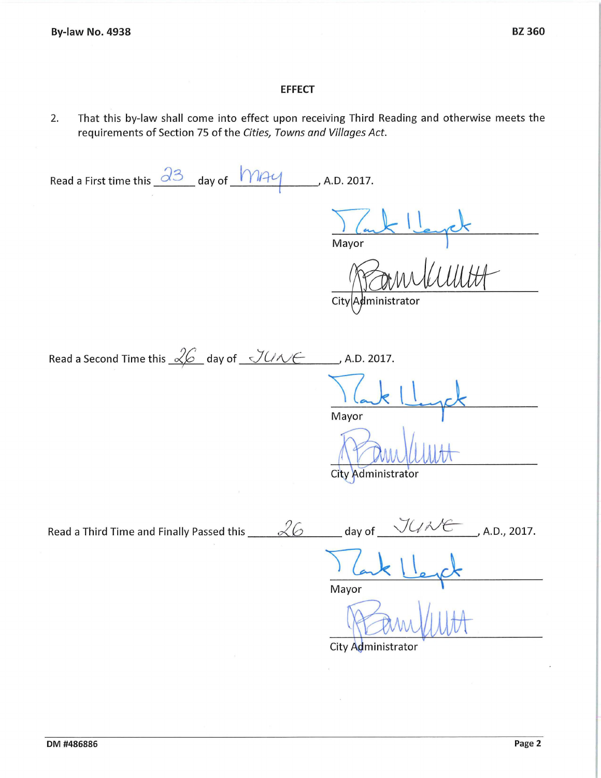## **EFFECT**

2. That this by-law shall come into effect upon receiving Third Reading and otherwise meets the requirements of Section 75 of the Cities, Towns and Villages Act.

Read a First time this  $\frac{\partial 3}{\partial 1}$  day of  $\frac{1}{\partial 1}$  A.D. 2017.

Mayor

 $City|A$ dministrator

Read a Second Time this  $\sqrt{2}$  day of  $\sqrt{U\Lambda/\epsilon}$  A.D. 2017.

Mayor

City Administrator

Read a Third Time and Finally Passed this  $\angle\%$  day of  $\frac{\sqrt{U\lambda\epsilon}}{I}$ , A.D., 2017.

Mayor

City Administrator